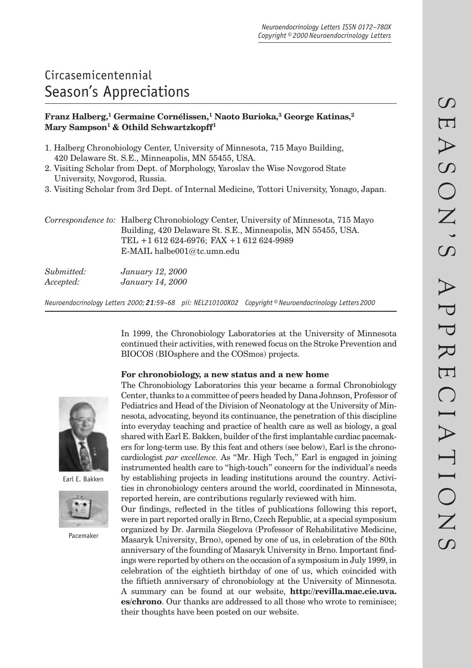# Circasemicentennial Season's Appreciations

# **Franz Halberg,1 Germaine Cornélissen,1 Naoto Burioka,3 George Katinas,2**  Mary Sampson<sup>1</sup> & Othild Schwartzkopff<sup>1</sup>

- 1. Halberg Chronobiology Center, University of Minnesota, 715 Mayo Building, 420 Delaware St. S.E., Minneapolis, MN 55455, USA.
- 2. Visiting Scholar from Dept. of Morphology, Yaroslav the Wise Novgorod State University, Novgorod, Russia.
- 3. Visiting Scholar from 3rd Dept. of Internal Medicine, Tottori University, Yonago, Japan.

|  | Correspondence to: Halberg Chronobiology Center, University of Minnesota, 715 Mayo |
|--|------------------------------------------------------------------------------------|
|  | Building, 420 Delaware St. S.E., Minneapolis, MN 55455, USA.                       |
|  | TEL $+1612624-6976$ ; FAX $+1612624-9989$                                          |
|  | E-MAIL halbe $001@$ tc.umn.edu                                                     |
|  |                                                                                    |

| Submitted: | <i>January</i> 12, 2000 |
|------------|-------------------------|
| Accepted:  | January 14, 2000        |

*Neuroendocrinology Letters 2000; 21:59–68 pii: NEL210100X02 Copyright © Neuroendocrinology Letters 2000*

In 1999, the Chronobiology Laboratories at the University of Minnesota continued their activities, with renewed focus on the Stroke Prevention and BIOCOS (BIOsphere and the COSmos) projects.

# **For chronobiology, a new status and a new home**



Earl E. Bakken



Pacemaker

The Chronobiology Laboratories this year became a formal Chronobiology Center, thanks to a committee of peers headed by Dana Johnson, Professor of Pediatrics and Head of the Division of Neonatology at the University of Minnesota, advocating, beyond its continuance, the penetration of this discipline into everyday teaching and practice of health care as well as biology, a goal shared with Earl E. Bakken, builder of the first implantable cardiac pacemakers for long-term use. By this feat and others (see below), Earl is the chronocardiologist *par excellence.* As "Mr. High Tech," Earl is engaged in joining instrumented health care to "high-touch" concern for the individual's needs by establishing projects in leading institutions around the country. Activities in chronobiology centers around the world, coordinated in Minnesota, reported herein, are contributions regularly reviewed with him.

Our findings, reflected in the titles of publications following this report, were in part reported orally in Brno, Czech Republic, at a special symposium organized by Dr. Jarmila Siegelova (Professor of Rehabilitative Medicine, Masaryk University, Brno), opened by one of us, in celebration of the 80th anniversary of the founding of Masaryk University in Brno. Important findings were reported by others on the occasion of a symposium in July 1999, in celebration of the eightieth birthday of one of us, which coincided with the fiftieth anniversary of chronobiology at the University of Minnesota. A summary can be found at our website, **http://revilla.mac.cie.uva. es/chrono**. Our thanks are addressed to all those who wrote to reminisce; their thoughts have been posted on our website.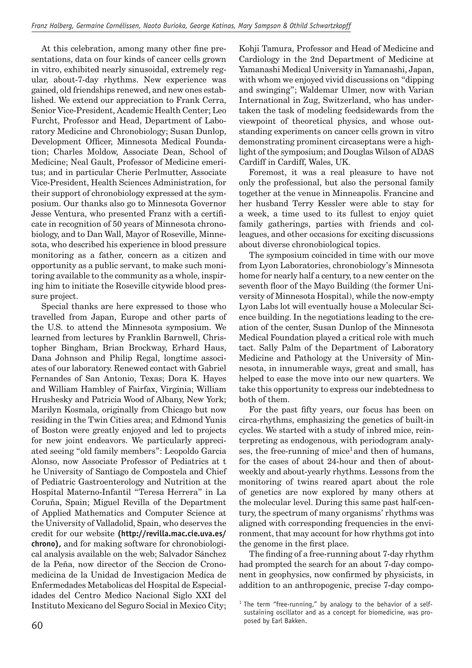At this celebration, among many other fine presentations, data on four kinds of cancer cells grown in vitro, exhibited nearly sinusoidal, extremely regular, about-7-day rhythms. New experience was gained, old friendships renewed, and new ones established. We extend our appreciation to Frank Cerra, Senior Vice-President, Academic Health Center; Leo Furcht, Professor and Head, Department of Laboratory Medicine and Chronobiology; Susan Dunlop, Development Officer, Minnesota Medical Foundation; Charles Moldow, Associate Dean, School of Medicine; Neal Gault, Professor of Medicine emeritus; and in particular Cherie Perlmutter, Associate Vice-President, Health Sciences Administration, for their support of chronobiology expressed at the symposium. Our thanks also go to Minnesota Governor Jesse Ventura, who presented Franz with a certificate in recognition of 50 years of Minnesota chronobiology, and to Dan Wall, Mayor of Roseville, Minnesota, who described his experience in blood pressure monitoring as a father, concern as a citizen and opportunity as a public servant, to make such monitoring available to the community as a whole, inspiring him to initiate the Roseville citywide blood pressure project.

Special thanks are here expressed to those who travelled from Japan, Europe and other parts of the U.S. to attend the Minnesota symposium. We learned from lectures by Franklin Barnwell, Christopher Bingham, Brian Brockway, Erhard Haus, Dana Johnson and Philip Regal, longtime associates of our laboratory. Renewed contact with Gabriel Fernandes of San Antonio, Texas; Dora K. Hayes and William Hambley of Fairfax, Virginia; William Hrushesky and Patricia Wood of Albany, New York; Marilyn Kosmala, originally from Chicago but now residing in the Twin Cities area; and Edmond Yunis of Boston were greatly enjoyed and led to projects for new joint endeavors. We particularly appreciated seeing "old family members": Leopoldo Garcia Alonso, now Associate Professor of Pediatrics at t he University of Santiago de Compostela and Chief of Pediatric Gastroenterology and Nutrition at the Hospital Materno-Infantil "Teresa Herrera" in La Coruña, Spain; Miguel Revilla of the Department of Applied Mathematics and Computer Science at the University of Valladolid, Spain, who deserves the credit for our website **(http://revilla.mac.cie.uva.es/ chrono),** and for making software for chronobiological analysis available on the web; Salvador Sánchez de la Peña, now director of the Seccion de Cronomedicina de la Unidad de Investigacion Medica de Enfermedades Metabolicas del Hospital de Especialidades del Centro Medico Nacional Siglo XXI del Instituto Mexicano del Seguro Social in Mexico City;

Kohji Tamura, Professor and Head of Medicine and Cardiology in the 2nd Department of Medicine at Yamanashi Medical University in Yamanashi, Japan, with whom we enjoyed vivid discussions on "dipping and swinging"; Waldemar Ulmer, now with Varian International in Zug, Switzerland, who has undertaken the task of modeling feedsidewards from the viewpoint of theoretical physics, and whose outstanding experiments on cancer cells grown in vitro demonstrating prominent circaseptans were a highlight of the symposium; and Douglas Wilson of ADAS Cardiff in Cardiff, Wales, UK.

Foremost, it was a real pleasure to have not only the professional, but also the personal family together at the venue in Minneapolis. Francine and her husband Terry Kessler were able to stay for a week, a time used to its fullest to enjoy quiet family gatherings, parties with friends and colleagues, and other occasions for exciting discussions about diverse chronobiological topics.

The symposium coincided in time with our move from Lyon Laboratories, chronobiology's Minnesota home for nearly half a century, to a new center on the seventh floor of the Mayo Building (the former University of Minnesota Hospital), while the now-empty Lyon Labs lot will eventually house a Molecular Science building. In the negotiations leading to the creation of the center, Susan Dunlop of the Minnesota Medical Foundation played a critical role with much tact. Sally Palm of the Department of Laboratory Medicine and Pathology at the University of Minnesota, in innumerable ways, great and small, has helped to ease the move into our new quarters. We take this opportunity to express our indebtedness to both of them.

For the past fifty years, our focus has been on circa-rhythms, emphasizing the genetics of built-in cycles. We started with a study of inbred mice, reinterpreting as endogenous, with periodogram analyses, the free-running of mice<sup>1</sup> and then of humans, for the cases of about 24-hour and then of aboutweekly and about-yearly rhythms. Lessons from the monitoring of twins reared apart about the role of genetics are now explored by many others at the molecular level. During this same past half-century, the spectrum of many organisms' rhythms was aligned with corresponding frequencies in the environment, that may account for how rhythms got into the genome in the first place.

The finding of a free-running about 7-day rhythm had prompted the search for an about 7-day component in geophysics, now confirmed by physicists, in addition to an anthropogenic, precise 7-day compo-

<sup>&</sup>lt;sup>1</sup> The term "free-running," by analogy to the behavior of a selfsustaining oscillator and as a concept for biomedicine, was proposed by Earl Bakken.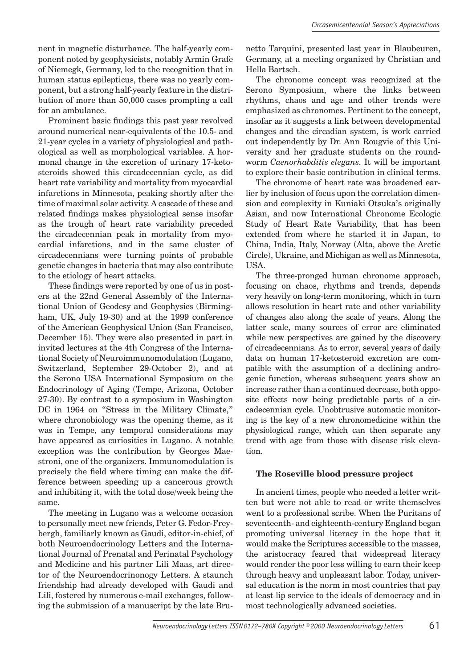nent in magnetic disturbance. The half-yearly component noted by geophysicists, notably Armin Grafe of Niemegk, Germany, led to the recognition that in human status epilepticus, there was no yearly component, but a strong half-yearly feature in the distribution of more than 50,000 cases prompting a call for an ambulance.

Prominent basic findings this past year revolved around numerical near- equivalents of the 10.5- and 21-year cycles in a variety of physiological and pathological as well as morphological variables. A hormonal change in the excretion of urinary 17-ketosteroids showed this circadecennian cycle, as did heart rate variability and mortality from myocardial infarctions in Minnesota, peaking shortly after the time of maximal solar activity. A cascade of these and related findings makes physiological sense insofar as the trough of heart rate variability preceded the circadecennian peak in mortality from myocardial infarctions, and in the same cluster of circadecennians were turning points of probable genetic changes in bacteria that may also contribute to the etiology of heart attacks.

These findings were reported by one of us in posters at the 22nd General Assembly of the International Union of Geodesy and Geophysics (Birmingham, UK, July 19-30) and at the 1999 conference of the American Geophysical Union (San Francisco, December 15). They were also presented in part in invited lectures at the 4th Congress of the International Society of Neuroimmunomodulation (Lugano, Switzerland, September 29-October 2), and at the Serono USA International Symposium on the Endocrinology of Aging (Tempe, Arizona, October 27-30). By contrast to a symposium in Washington DC in 1964 on "Stress in the Military Climate," where chronobiology was the opening theme, as it was in Tempe, any temporal considerations may have appeared as curiosities in Lugano. A notable exception was the contribution by Georges Maestroni, one of the organizers. Immunomodulation is precisely the field where timing can make the difference between speeding up a cancerous growth and inhibiting it, with the total dose/week being the same.

The meeting in Lugano was a welcome occasion to personally meet new friends, Peter G. Fedor-Freybergh, familiarly known as Gaudi, editor-in-chief, of both Neuroendocrinology Letters and the International Journal of Prenatal and Perinatal Psychology and Medicine and his partner Lili Maas, art director of the Neuroendocrinonogy Letters. A staunch friendship had already developed with Gaudi and Lili, fostered by numerous e-mail exchanges, following the submission of a manuscript by the late Brunetto Tarquini, presented last year in Blaubeuren, Germany, at a meeting organized by Christian and Hella Bartsch.

The chronome concept was recognized at the Serono Symposium, where the links between rhythms, chaos and age and other trends were emphasized as chronomes. Pertinent to the concept, insofar as it suggests a link between developmental changes and the circadian system, is work carried out independently by Dr. Ann Rougvie of this University and her graduate students on the roundworm *Caenorhabditis elegans.* It will be important to explore their basic contribution in clinical terms.

The chronome of heart rate was broadened earlier by inclusion of focus upon the correlation dimension and complexity in Kuniaki Otsuka's originally Asian, and now International Chronome Ecologic Study of Heart Rate Variability, that has been extended from where he started it in Japan, to China, India, Italy, Norway (Alta, above the Arctic Circle), Ukraine, and Michigan as well as Minnesota, USA.

The three-pronged human chronome approach, focusing on chaos, rhythms and trends, depends very heavily on long-term monitoring, which in turn allows resolution in heart rate and other variability of changes also along the scale of years. Along the latter scale, many sources of error are eliminated while new perspectives are gained by the discovery of circadecennians. As to error, several years of daily data on human 17-ketosteroid excretion are compatible with the assumption of a declining androgenic function, whereas subsequent years show an increase rather than a continued decrease, both opposite effects now being predictable parts of a circadecennian cycle. Unobtrusive automatic monitoring is the key of a new chronomedicine within the physiological range, which can then separate any trend with age from those with disease risk elevation.

# **The Roseville blood pressure project**

In ancient times, people who needed a letter written but were not able to read or write themselves went to a professional scribe. When the Puritans of seventeenth- and eighteenth-century England began promoting universal literacy in the hope that it would make the Scriptures accessible to the masses, the aristocracy feared that widespread literacy would render the poor less willing to earn their keep through heavy and unpleasant labor. Today, universal education is the norm in most countries that pay at least lip service to the ideals of democracy and in most technologically advanced societies.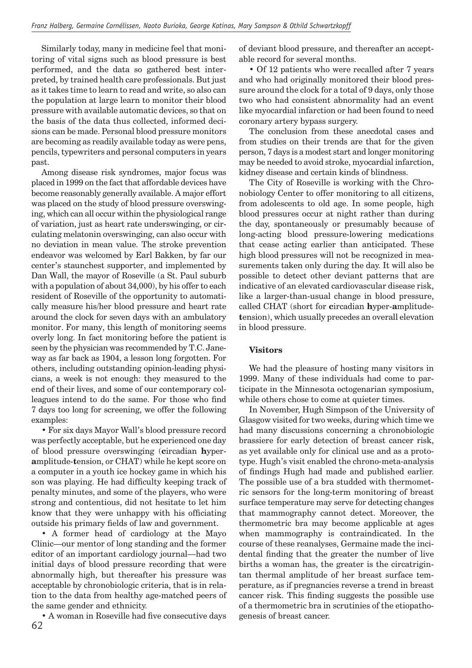Similarly today, many in medicine feel that monitoring of vital signs such as blood pressure is best performed, and the data so gathered best interpreted, by trained health care professionals. But just as it takes time to learn to read and write, so also can the population at large learn to monitor their blood pressure with available automatic devices, so that on the basis of the data thus collected, informed decisions can be made. Personal blood pressure monitors are becoming as readily available today as were pens, pencils, typewriters and personal computers in years past.

Among disease risk syndromes, major focus was placed in 1999 on the fact that affordable devices have become reasonably generally available. A major effort was placed on the study of blood pressure overswinging, which can all occur within the physiological range of variation, just as heart rate underswinging, or circulating melatonin overswinging, can also occur with no deviation in mean value. The stroke prevention endeavor was welcomed by Earl Bakken, by far our center's staunchest supporter, and implemented by Dan Wall, the mayor of Roseville (a St. Paul suburb with a population of about 34,000), by his offer to each resident of Roseville of the opportunity to automatically measure his/her blood pressure and heart rate around the clock for seven days with an ambulatory monitor. For many, this length of monitoring seems overly long. In fact monitoring before the patient is seen by the physician was recommended by T.C. Janeway as far back as 1904, a lesson long forgotten. For others, including outstanding opinion-leading physicians, a week is not enough: they measured to the end of their lives, and some of our contemporary colleagues intend to do the same. For those who find 7 days too long for screening, we offer the following examples:

• For six days Mayor Wall's blood pressure record was perfectly acceptable, but he experienced one day of blood pressure overswinging (**c**ircadian **h**yper**a**mplitude-**t**ension, or CHAT) while he kept score on a computer in a youth ice hockey game in which his son was playing. He had difficulty keeping track of penalty minutes, and some of the players, who were strong and contentious, did not hesitate to let him know that they were unhappy with his officiating outside his primary fields of law and government.

• A former head of cardiology at the Mayo Clinic—our mentor of long standing and the former editor of an important cardiology journal—had two initial days of blood pressure recording that were abnormally high, but thereafter his pressure was acceptable by chronobiologic criteria, that is in relation to the data from healthy age-matched peers of the same gender and ethnicity.

62 • A woman in Roseville had five consecutive days of deviant blood pressure, and thereafter an acceptable record for several months.

• Of 12 patients who were recalled after 7 years and who had originally monitored their blood pressure around the clock for a total of 9 days, only those two who had consistent abnormality had an event like myocardial infarction or had been found to need coronary artery bypass surgery.

The conclusion from these anecdotal cases and from studies on their trends are that for the given person, 7 days is a modest start and longer monitoring may be needed to avoid stroke, myocardial infarction, kidney disease and certain kinds of blindness.

The City of Roseville is working with the Chronobiology Center to offer monitoring to all citizens, from adolescents to old age. In some people, high blood pressures occur at night rather than during the day, spontaneously or presumably because of long-acting blood pressure-lowering medications that cease acting earlier than anticipated. These high blood pressures will not be recognized in measurements taken only during the day. It will also be possible to detect other deviant patterns that are indicative of an elevated cardiovascular disease risk, like a larger-than-usual change in blood pressure, called CHAT (short for **c**ircadian **h**yper-**a**mplitude**t**ension), which usually precedes an overall elevation in blood pressure.

# **Visitors**

We had the pleasure of hosting many visitors in 1999. Many of these individuals had come to participate in the Minnesota octogenarian symposium, while others chose to come at quieter times.

In November, Hugh Simpson of the University of Glasgow visited for two weeks, during which time we had many discussions concerning a chronobiologic brassiere for early detection of breast cancer risk, as yet available only for clinical use and as a prototype. Hugh's visit enabled the chrono-meta-analysis of findings Hugh had made and published earlier. The possible use of a bra studded with thermometric sensors for the long-term monitoring of breast surface temperature may serve for detecting changes that mammography cannot detect. Moreover, the thermometric bra may become applicable at ages when mammography is contraindicated. In the course of these reanalyses, Germaine made the incidental finding that the greater the number of live births a woman has, the greater is the circatrigintan thermal amplitude of her breast surface temperature, as if pregnancies reverse a trend in breast cancer risk. This finding suggests the possible use of a thermometric bra in scrutinies of the etiopathogenesis of breast cancer.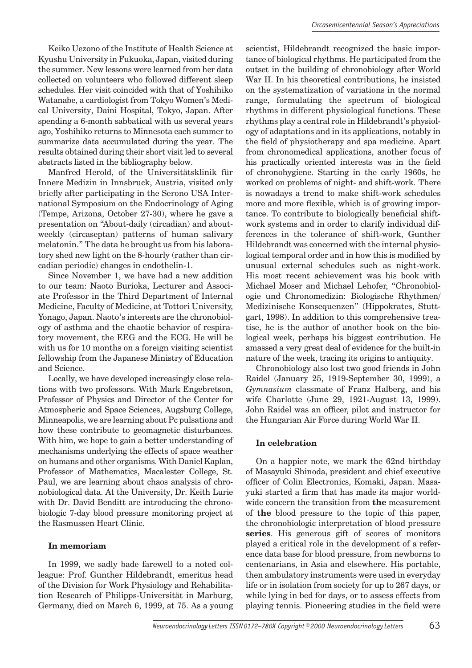Keiko Uezono of the Institute of Health Science at Kyushu University in Fukuoka, Japan, visited during the summer. New lessons were learned from her data collected on volunteers who followed different sleep schedules. Her visit coincided with that of Yoshihiko Watanabe, a cardiologist from Tokyo Women's Medical University, Daini Hospital, Tokyo, Japan. After spending a 6-month sabbatical with us several years ago, Yoshihiko returns to Minnesota each summer to summarize data accumulated during the year. The results obtained during their short visit led to several abstracts listed in the bibliography below.

Manfred Herold, of the Universitätsklinik für Innere Medizin in Innsbruck, Austria, visited only briefly after participating in the Serono USA International Symposium on the Endocrinology of Aging (Tempe, Arizona, October 27-30), where he gave a presentation on "About-daily (circadian) and aboutweekly (circaseptan) patterns of human salivary melatonin." The data he brought us from his laboratory shed new light on the 8-hourly (rather than circadian periodic) changes in endothelin-1.

Since November 1, we have had a new addition to our team: Naoto Burioka, Lecturer and Associate Professor in the Third Department of Internal Medicine, Faculty of Medicine, at Tottori University, Yonago, Japan. Naoto's interests are the chronobiology of asthma and the chaotic behavior of respiratory movement, the EEG and the ECG. He will be with us for 10 months on a foreign visiting scientist fellowship from the Japanese Ministry of Education and Science.

Locally, we have developed increasingly close relations with two professors. With Mark Engebretson, Professor of Physics and Director of the Center for Atmospheric and Space Sciences, Augsburg College, Minneapolis, we are learning about Pc pulsations and how these contribute to geomagnetic disturbances. With him, we hope to gain a better understanding of mechanisms underlying the effects of space weather on humans and other organisms. With Daniel Kaplan, Professor of Mathematics, Macalester College, St. Paul, we are learning about chaos analysis of chronobiological data. At the University, Dr. Keith Lurie with Dr. David Benditt are introducing the chronobiologic 7-day blood pressure monitoring project at the Rasmussen Heart Clinic.

# **In memoriam**

In 1999, we sadly bade farewell to a noted colleague: Prof. Gunther Hildebrandt, emeritus head of the Division for Work Physiology and Rehabilitation Research of Philipps-Universität in Marburg, Germany, died on March 6, 1999, at 75. As a young scientist, Hildebrandt recognized the basic importance of biological rhythms. He participated from the outset in the building of chronobiology after World War II. In his theoretical contributions, he insisted on the systematization of variations in the normal range, formulating the spectrum of biological rhythms in different physiological functions. These rhythms play a central role in Hildebrandt's physiology of adaptations and in its applications, notably in the field of physiotherapy and spa medicine. Apart from chronomedical applications, another focus of his practically oriented interests was in the field of chronohygiene. Starting in the early 1960s, he worked on problems of night- and shift-work. There is nowadays a trend to make shift-work schedules more and more flexible, which is of growing importance. To contribute to biologically beneficial shiftwork systems and in order to clarify individual differences in the tolerance of shift-work, Gunther Hildebrandt was concerned with the internal physiological temporal order and in how this is modified by unusual external schedules such as night-work. His most recent achievement was his book with Michael Moser and Michael Lehofer, "Chronobiologie und Chronomedizin: Biologische Rhythmen/ Medizinische Konsequenzen" (Hippokrates, Stuttgart, 1998). In addition to this comprehensive treatise, he is the author of another book on the biological week, perhaps his biggest contribution. He amassed a very great deal of evidence for the built-in nature of the week, tracing its origins to antiquity.

Chronobiology also lost two good friends in John Raidel (January 25, 1919-September 30, 1999), a *Gymnasium* classmate of Franz Halberg, and his wife Charlotte (June 29, 1921-August 13, 1999). John Raidel was an officer, pilot and instructor for the Hungarian Air Force during World War II.

# **In celebration**

On a happier note, we mark the 62nd birthday of Masayuki Shinoda, president and chief executive officer of Colin Electronics, Komaki, Japan. Masavuki started a firm that has made its major worldwide concern the transition from **the** measurement of **the** blood pressure to the topic of this paper, the chronobiologic interpretation of blood pressure **series**. His generous gift of scores of monitors played a critical role in the development of a reference data base for blood pressure, from newborns to centenarians, in Asia and elsewhere. His portable, then ambulatory instruments were used in everyday life or in isolation from society for up to 267 days, or while lying in bed for days, or to assess effects from playing tennis. Pioneering studies in the field were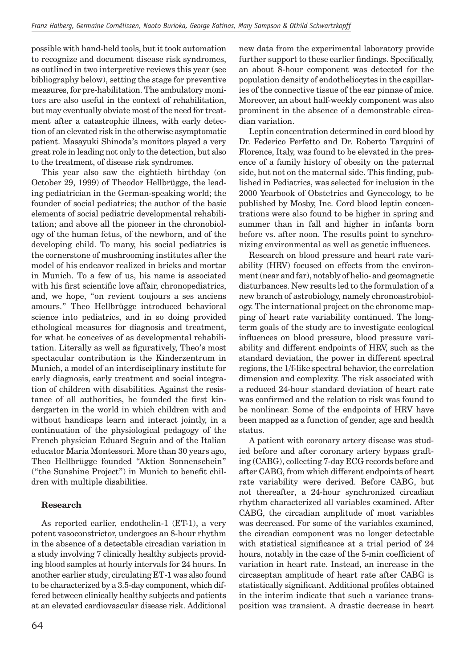possible with hand-held tools, but it took automation to recognize and document disease risk syndromes, as outlined in two interpretive reviews this year (see bibliography below), setting the stage for preventive measures, for pre-habilitation. The ambulatory monitors are also useful in the context of rehabilitation, but may eventually obviate most of the need for treatment after a catastrophic illness, with early detection of an elevated risk in the otherwise asymptomatic patient. Masayuki Shinoda's monitors played a very great role in leading not only to the detection, but also to the treatment, of disease risk syndromes.

This year also saw the eightieth birthday (on October 29, 1999) of Theodor Hellbrügge, the leading pediatrician in the German-speaking world; the founder of social pediatrics; the author of the basic elements of social pediatric developmental rehabilitation; and above all the pioneer in the chronobiology of the human fetus, of the newborn, and of the developing child. To many, his social pediatrics is the cornerstone of mushrooming institutes after the model of his endeavor realized in bricks and mortar in Munich. To a few of us, his name is associated with his first scientific love affair, chronopediatrics, and, we hope, "on revient toujours a ses anciens amours." Theo Hellbrügge introduced behavioral science into pediatrics, and in so doing provided ethological measures for diagnosis and treatment, for what he conceives of as developmental rehabilitation. Literally as well as figuratively, Theo's most spectacular contribution is the Kinderzentrum in Munich, a model of an interdisciplinary institute for early diagnosis, early treatment and social integration of children with disabilities. Against the resistance of all authorities, he founded the first kindergarten in the world in which children with and without handicaps learn and interact jointly, in a continuation of the physiological pedagogy of the French physician Eduard Seguin and of the Italian educator Maria Montessori. More than 30 years ago, Theo Hellbrügge founded "Aktion Sonnenschein" ("the Sunshine Project") in Munich to benefit children with multiple disabilities.

# **Research**

As reported earlier, endothelin-1 (ET-1), a very potent vasoconstrictor, undergoes an 8-hour rhythm in the absence of a detectable circadian variation in a study involving 7 clinically healthy subjects providing blood samples at hourly intervals for 24 hours. In another earlier study, circulating ET-1 was also found to be characterized by a 3.5-day component, which differed between clinically healthy subjects and patients at an elevated cardiovascular disease risk. Additional new data from the experimental laboratory provide further support to these earlier findings. Specifically, an about 8-hour component was detected for the population density of endotheliocytes in the capillaries of the connective tissue of the ear pinnae of mice. Moreover, an about half-weekly component was also prominent in the absence of a demonstrable circadian variation.

Leptin concentration determined in cord blood by Dr. Federico Perfetto and Dr. Roberto Tarquini of Florence, Italy, was found to be elevated in the presence of a family history of obesity on the paternal side, but not on the maternal side. This finding, published in Pediatrics, was selected for inclusion in the 2000 Yearbook of Obstetrics and Gynecology, to be published by Mosby, Inc. Cord blood leptin concentrations were also found to be higher in spring and summer than in fall and higher in infants born before vs. after noon. The results point to synchronizing environmental as well as genetic influences.

Research on blood pressure and heart rate variability (HRV) focused on effects from the environment (near and far), notably of helio- and geomagnetic disturbances. New results led to the formulation of a new branch of astrobiology, namely chronoastrobiology. The international project on the chronome mapping of heart rate variability continued. The longterm goals of the study are to investigate ecological influences on blood pressure, blood pressure variability and different endpoints of HRV, such as the standard deviation, the power in different spectral regions, the 1/f-like spectral behavior, the correlation dimension and complexity. The risk associated with a reduced 24-hour standard deviation of heart rate was confirmed and the relation to risk was found to be nonlinear. Some of the endpoints of HRV have been mapped as a function of gender, age and health status.

A patient with coronary artery disease was studied before and after coronary artery bypass grafting (CABG), collecting 7-day ECG records before and after CABG, from which different endpoints of heart rate variability were derived. Before CABG, but not thereafter, a 24-hour synchronized circadian rhythm characterized all variables examined. After CABG, the circadian amplitude of most variables was decreased. For some of the variables examined, the circadian component was no longer detectable with statistical significance at a trial period of 24 hours, notably in the case of the 5-min coefficient of variation in heart rate. Instead, an increase in the circaseptan amplitude of heart rate after CABG is statistically significant. Additional profiles obtained in the interim indicate that such a variance transposition was transient. A drastic decrease in heart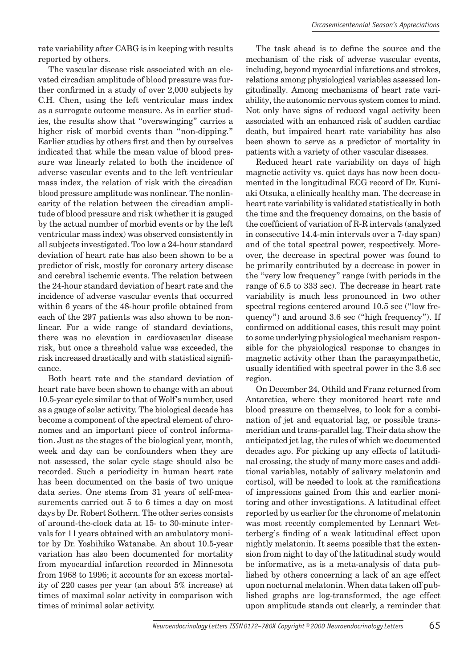rate variability after CABG is in keeping with results reported by others.

The vascular disease risk associated with an elevated circadian amplitude of blood pressure was further confirmed in a study of over  $2,000$  subjects by C.H. Chen, using the left ventricular mass index as a surrogate outcome measure. As in earlier studies, the results show that "overswinging" carries a higher risk of morbid events than "non-dipping." Earlier studies by others first and then by ourselves indicated that while the mean value of blood pressure was linearly related to both the incidence of adverse vascular events and to the left ventricular mass index, the relation of risk with the circadian blood pressure amplitude was nonlinear. The nonlinearity of the relation between the circadian amplitude of blood pressure and risk (whether it is gauged by the actual number of morbid events or by the left ventricular mass index) was observed consistently in all subjects investigated. Too low a 24-hour standard deviation of heart rate has also been shown to be a predictor of risk, mostly for coronary artery disease and cerebral ischemic events. The relation between the 24-hour standard deviation of heart rate and the incidence of adverse vascular events that occurred within 6 years of the 48-hour profile obtained from each of the 297 patients was also shown to be nonlinear. For a wide range of standard deviations, there was no elevation in cardiovascular disease risk, but once a threshold value was exceeded, the risk increased drastically and with statistical significance.

Both heart rate and the standard deviation of heart rate have been shown to change with an about 10.5-year cycle similar to that of Wolf's number, used as a gauge of solar activity. The biological decade has become a component of the spectral element of chronomes and an important piece of control information. Just as the stages of the biological year, month, week and day can be confounders when they are not assessed, the solar cycle stage should also be recorded. Such a periodicity in human heart rate has been documented on the basis of two unique data series. One stems from 31 years of self-measurements carried out 5 to 6 times a day on most days by Dr. Robert Sothern. The other series consists of around-the-clock data at 15- to 30-minute intervals for 11 years obtained with an ambulatory monitor by Dr. Yoshihiko Watanabe. An about 10.5-year variation has also been documented for mortality from myocardial infarction recorded in Minnesota from 1968 to 1996; it accounts for an excess mortality of 220 cases per year (an about 5% increase) at times of maximal solar activity in comparison with times of minimal solar activity.

The task ahead is to define the source and the mechanism of the risk of adverse vascular events, including, beyond myocardial infarctions and strokes, relations among physiological variables assessed longitudinally. Among mechanisms of heart rate variability, the autonomic nervous system comes to mind. Not only have signs of reduced vagal activity been associated with an enhanced risk of sudden cardiac death, but impaired heart rate variability has also been shown to serve as a predictor of mortality in patients with a variety of other vascular diseases.

Reduced heart rate variability on days of high magnetic activity vs. quiet days has now been documented in the longitudinal ECG record of Dr. Kuniaki Otsuka, a clinically healthy man. The decrease in heart rate variability is validated statistically in both the time and the frequency domains, on the basis of the coefficient of variation of R-R intervals (analyzed in consecutive 14.4-min intervals over a 7-day span) and of the total spectral power, respectively. Moreover, the decrease in spectral power was found to be primarily contributed by a decrease in power in the "very low frequency" range (with periods in the range of 6.5 to 333 sec). The decrease in heart rate variability is much less pronounced in two other spectral regions centered around 10.5 sec ("low frequency") and around 3.6 sec ("high frequency"). If confirmed on additional cases, this result may point to some underlying physiological mechanism responsible for the physiological response to changes in magnetic activity other than the parasympathetic, usually identified with spectral power in the 3.6 sec region.

On December 24, Othild and Franz returned from Antarctica, where they monitored heart rate and blood pressure on themselves, to look for a combination of jet and equatorial lag, or possible transmeridian and trans-parallel lag. Their data show the anticipated jet lag, the rules of which we documented decades ago. For picking up any effects of latitudinal crossing, the study of many more cases and additional variables, notably of salivary melatonin and cortisol, will be needed to look at the ramifications of impressions gained from this and earlier monitoring and other investigations. A latitudinal effect reported by us earlier for the chronome of melatonin was most recently complemented by Lennart Wetterberg's finding of a weak latitudinal effect upon nightly melatonin. It seems possible that the extension from night to day of the latitudinal study would be informative, as is a meta-analysis of data published by others concerning a lack of an age effect upon nocturnal melatonin. When data taken off published graphs are log-transformed, the age effect upon amplitude stands out clearly, a reminder that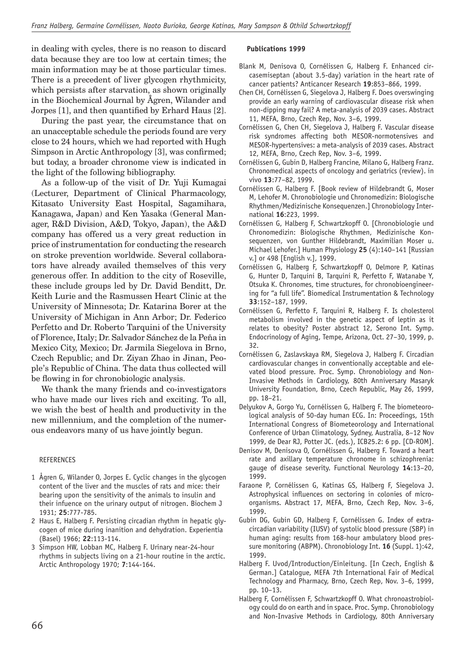in dealing with cycles, there is no reason to discard data because they are too low at certain times; the main information may be at those particular times. There is a precedent of liver glycogen rhythmicity, which persists after starvation, as shown originally in the Biochemical Journal by Ågren, Wilander and Jorpes [1], and then quantified by Erhard Haus [2].

During the past year, the circumstance that on an unacceptable schedule the periods found are very close to 24 hours, which we had reported with Hugh Simpson in Arctic Anthropology [3], was confirmed; but today, a broader chronome view is indicated in the light of the following bibliography.

As a follow-up of the visit of Dr. Yuji Kumagai (Lecturer, Department of Clinical Pharmacology, Kitasato University East Hospital, Sagamihara, Kanagawa, Japan) and Ken Yasaka (General Manager, R&D Division, A&D, Tokyo, Japan), the A&D company has offered us a very great reduction in price of instrumentation for conducting the research on stroke prevention worldwide. Several collaborators have already availed themselves of this very generous offer. In addition to the city of Roseville, these include groups led by Dr. David Benditt, Dr. Keith Lurie and the Rasmussen Heart Clinic at the University of Minnesota; Dr. Katarina Borer at the University of Michigan in Ann Arbor; Dr. Federico Perfetto and Dr. Roberto Tarquini of the University of Florence, Italy; Dr. Salvador Sánchez de la Peña in Mexico City, Mexico; Dr. Jarmila Siegelova in Brno, Czech Republic; and Dr. Ziyan Zhao in Jinan, People's Republic of China. The data thus collected will be flowing in for chronobiologic analysis.

We thank the many friends and co-investigators who have made our lives rich and exciting. To all, we wish the best of health and productivity in the new millennium, and the completion of the numerous endeavors many of us have jointly begun.

#### REFERENCES

- 1 Ågren G, Wilander O, Jorpes E. Cyclic changes in the glycogen content of the liver and the muscles of rats and mice: their bearing upon the sensitivity of the animals to insulin and their infuence on the urinary output of nitrogen. Biochem J 1931; **25**:777-785.
- 2 Haus E, Halberg F. Persisting circadian rhythm in hepatic glycogen of mice during inanition and dehydration. Experientia (Basel) 1966; **22**:113-114.
- 3 Simpson HW, Lobban MC, Halberg F. Urinary near-24-hour rhythms in subjects living on a 21-hour routine in the arctic. Arctic Anthropology 1970; **7**:144-164.

#### **Publications 1999**

- Blank M, Denisova O, Cornélissen G, Halberg F. Enhanced circasemiseptan (about 3.5-day) variation in the heart rate of cancer patients? Anticancer Research **19**:853–866, 1999.
- Chen CH, Cornélissen G, Siegelova J, Halberg F. Does overswinging provide an early warning of cardiovascular disease risk when non-dipping may fail? A meta-analysis of 2039 cases. Abstract 11, MEFA, Brno, Czech Rep, Nov. 3–6, 1999.
- Cornélissen G, Chen CH, Siegelova J, Halberg F. Vascular disease risk syndromes affecting both MESOR-normotensives and MESOR-hypertensives: a meta-analysis of 2039 cases. Abstract 12, MEFA, Brno, Czech Rep, Nov. 3–6, 1999.
- Cornélissen G, Gubin D, Halberg Francine, Milano G, Halberg Franz. Chronomedical aspects of oncology and geriatrics (review). in vivo **13**:77–82, 1999.
- Cornélissen G, Halberg F. [Book review of Hildebrandt G, Moser M, Lehofer M. Chronobiologie und Chronomedizin: Biologische Rhythmen/Medizinische Konsequenzen.] Chronobiology International **16**:223, 1999.
- Cornélissen G, Halberg F, Schwartzkopff O. [Chronobiologie und Chronomedizin: Biologische Rhythmen, Medizinische Konsequenzen, von Gunther Hildebrandt, Maximilian Moser u. Michael Lehofer.] Human Physiology **25** (4):140–141 [Russian v.] or 498 [English v.], 1999.
- Cornélissen G, Halberg F, Schwartzkopff O, Delmore P, Katinas G, Hunter D, Tarquini B, Tarquini R, Perfetto F, Watanabe Y, Otsuka K. Chronomes, time structures, for chronobioengineering for "a full life". Biomedical Instrumentation & Technology **33**:152–187, 1999.
- Cornélissen G, Perfetto F, Tarquini R, Halberg F. Is cholesterol metabolism involved in the genetic aspect of leptin as it relates to obesity? Poster abstract 12, Serono Int. Symp. Endocrinology of Aging, Tempe, Arizona, Oct. 27–30, 1999, p. 32.
- Cornélissen G, Zaslavskaya RM, Siegelova J, Halberg F. Circadian cardiovascular changes in conventionally acceptable and elevated blood pressure. Proc. Symp. Chronobiology and Non-Invasive Methods in Cardiology, 80th Anniversary Masaryk University Foundation, Brno, Czech Republic, May 26, 1999, pp. 18–21.
- Delyukov A, Gorgo Yu, Cornélissen G, Halberg F. The biometeorological analysis of 50-day human ECG. In: Proceedings, 15th International Congress of Biometeorology and International Conference of Urban Climatology, Sydney, Australia, 8–12 Nov 1999, de Dear RJ, Potter JC. (eds.), ICB25.2: 6 pp. [CD-ROM].
- Denisov M, Denisova O, Cornélissen G, Halberg F. Toward a heart rate and axillary temperature chronome in schizophrenia: gauge of disease severity. Functional Neurology **14**:13–20, 1999.
- Faraone P, Cornélissen G, Katinas GS, Halberg F, Siegelova J. Astrophysical influences on sectoring in colonies of microorganisms. Abstract 17, MEFA, Brno, Czech Rep, Nov. 3–6, 1999.
- Gubin DG, Gubin GD, Halberg F, Cornélissen G. Index of extracircadian variability (IUSV) of systolic blood pressure (SBP) in human aging: results from 168-hour ambulatory blood pressure monitoring (ABPM). Chronobiology Int. **16** (Suppl. 1):42, 1999.
- Halberg F. Uvod/Introduction/Einleitung. [In Czech, English & German.] Catalogue, MEFA 7th International Fair of Medical Technology and Pharmacy, Brno, Czech Rep, Nov. 3–6, 1999, pp. 10–13.
- Halberg F, Cornélissen F, Schwartzkopff O. What chronoastrobiology could do on earth and in space. Proc. Symp. Chronobiology and Non-Invasive Methods in Cardiology, 80th Anniversary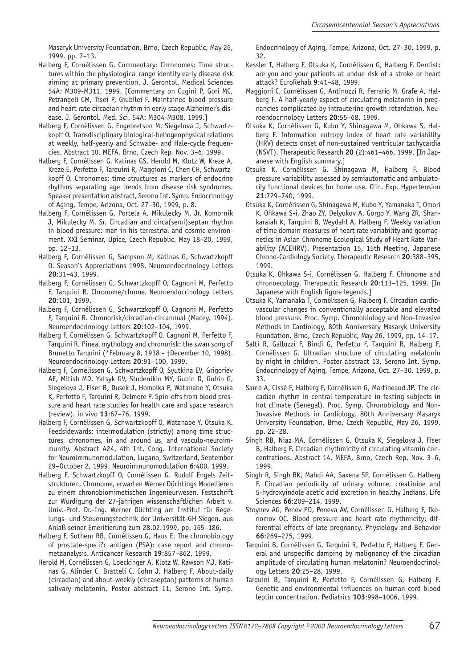Masaryk University Foundation, Brno, Czech Republic, May 26, 1999, pp. 7–13.

- Halberg F, Cornélissen G. Commentary: Chronomes: Time structures within the physiological range identify early disease risk aiming at primary prevention. J. Gerontol. Medical Sciences 54A: M309-M311, 1999. [Commentary on Cugini P, Gori MC, Petrangeli CM, Tisei P, Giubilei F. Maintained blood pressure and heart rate circadian rhythm in early stage Alzheimer's disease. J. Gerontol. Med. Sci. 54A: M304-M308, 1999.]
- Halberg F, Cornélissen G, Engebretson M, Siegelova J, Schwartzkopff O. Transdisciplinary biological-heliogeophysical relations at weekly, half-yearly and Schwabe- and Hale-cycle frequencies. Abstract 10, MEFA, Brno, Czech Rep, Nov. 3–6, 1999.
- Halberg F, Cornélissen G, Katinas GS, Herold M, Klotz W, Kreze A, Kreze E, Perfetto F, Tarquini R, Maggioni C, Chen CH, Schwartzkopff O. Chronomes: time structures as markers of endocrine rhythms separating age trends from disease risk syndromes. Speaker presentation abstract, Serono Int. Symp. Endocrinology of Aging, Tempe, Arizona, Oct. 27–30, 1999, p. 8.
- Halberg F, Cornélissen G, Portela A, Mikulecky M. Jr, Komornik J, Mikulecky M. Sr. Circadian and circa(semi)septan rhythm in blood pressure: man in his terrestrial and cosmic environment. XXI Seminar, Upice, Czech Republic, May 18–20, 1999, pp. 12–13.
- Halberg F, Cornélissen G, Sampson M, Katinas G, Schwartzkopff O. Season's Appreciations 1998. Neuroendocrinology Letters **20**:31–43, 1999.
- Halberg F, Cornélissen G, Schwartzkopff O, Cagnoni M, Perfetto F, Tarquini R. Chronome/chrone. Neuroendocrinology Letters **20**:101, 1999.
- Halberg F, Cornélissen G, Schwartzkopff O, Cagnoni M, Perfetto F, Tarquini R. Chronorisk/circadian-circannual (Macey, 1994). Neuroendocrinology Letters **20**:102–104, 1999.
- Halberg F, Cornélissen G, Schwartzkopff O, Cagnoni M, Perfetto F, Tarquini R. Pineal mythology and chronorisk: the swan song of Brunetto Tarquini (\*February 8, 1938 - †December 10, 1998). Neuroendocrinology Letters **20**:91–100, 1999.
- Halberg F, Cornélissen G, Schwartzkopff O, Syutkina EV, Grigoriev AE, Mitish MD, Yatsyk GV, Studenikin MY, Gubin D, Gubin G, Siegelova J, Fiser B, Dusek J, Homolka P, Watanabe Y, Otsuka K, Perfetto F, Tarquini R, Delmore P. Spin-offs from blood pressure and heart rate studies for health care and space research (review). in vivo **13**:67–76, 1999.
- Halberg F, Cornélissen G, Schwartzkopff O, Watanabe Y, Otsuka K. Feedsidewards: intermodulation (strictly) among time structures, chronomes, in and around us, and vasculo-neuroimmunity. Abstract A24, 4th Int. Cong. International Society for Neuroimmunomodulation, Lugano, Switzerland, September 29–October 2, 1999. Neuroimmunomodulation **6**:400, 1999.
- Halberg F, Schwartzkopff O, Cornélissen G. Rudolf Engels Zeitstrukturen, Chronome, erwarten Werner Düchtings Modellieren zu einem chronobiomimetischen Ingenieurwesen. Festschrift zur Würdigung der 27-jährigen wissenschaftlichen Arbeit v. Univ.-Prof. Dr.-Ing. Werner Düchting am Institut für Regelungs- und Steuerungstechnik der Universität-GH Siegen. aus Anlaß seiner Emeritierung zum 28.02.1999, pp. 165–186.
- Halberg F, Sothern RB, Cornélissen G, Haus E. The chronobiology of prostate-speci?c antigen (PSA): case report and chronometaanalysis. Anticancer Research **19**:857–862, 1999.
- Herold M, Cornélissen G, Loeckinger A, Klotz W, Rawson MJ, Katinas G, Alinder C, Bratteli C, Cohn J, Halberg F. About-daily (circadian) and about-weekly (circaseptan) patterns of human salivary melatonin. Poster abstract 11, Serono Int. Symp.

Endocrinology of Aging, Tempe, Arizona, Oct. 27–30, 1999, p. 32.

- Kessler T, Halberg F, Otsuka K, Cornélissen G, Halberg F. Dentist: are you and your patients at undue risk of a stroke or heart attack? EuroRehab **9**:41–48, 1999.
- Maggioni C, Cornélissen G, Antinozzi R, Ferrario M, Grafe A, Halberg F. A half-yearly aspect of circulating melatonin in pregnancies complicated by intrauterine growth retardation. Neuroendocrinology Letters **20**:55–68, 1999.
- Otsuka K, Cornélissen G, Kubo Y, Shinagawa M, Ohkawa S, Halberg F. Information entropy index of heart rate variability (HRV) detects onset of non-sustained ventricular tachycardia (NSVT). Therapeutic Research **20** (2):461–466, 1999. [In Japanese with English summary.]
- Otsuka K, Cornélissen G, Shinagawa M, Halberg F. Blood pressure variability assessed by semiautomatic and ambulatorily functional devices for home use. Clin. Exp. Hypertension **21**:729–740, 1999.
- Otsuka K, Cornélissen G, Shinagawa M, Kubo Y, Yamanaka T, Omori K, Ohkawa S-i, Zhao ZY, Delyukov A, Gorgo Y, Wang ZR, Shankaraiah K, Tarquini B, Weydahl A, Halberg F. Weekly variation of time domain measures of heart rate variability and geomagnetics in Asian Chronome Ecological Study of Heart Rate Variability (ACEHRV). Presentation 15, 15th Meeting, Japanese Chrono-Cardiology Society. Therapeutic Research **20**:388–395, 1999.
- Otsuka K, Ohkawa S-i, Cornélissen G, Halberg F. Chronome and chronoecology. Therapeutic Research **20**:113–125, 1999. [In Japanese with English figure legends.]
- Otsuka K, Yamanaka T, Cornélissen G, Halberg F. Circadian cardiovascular changes in conventionally acceptable and elevated blood pressure. Proc. Symp. Chronobiology and Non-Invasive Methods in Cardiology, 80th Anniversary Masaryk University Foundation, Brno, Czech Republic, May 26, 1999, pp. 14–17.
- Salti R, Galluzzi F, Bindi G, Perfetto F, Tarquini R, Halberg F, Cornélissen G. Ultradian structure of circulating melatonin by night in children. Poster abstract 13, Serono Int. Symp. Endocrinology of Aging, Tempe, Arizona, Oct. 27–30, 1999, p. 33.
- Samb A, Cissé F, Halberg F, Cornélissen G, Martineaud JP. The circadian rhythm in central temperature in fasting subjects in hot climate (Senegal). Proc. Symp. Chronobiology and Non-Invasive Methods in Cardiology, 80th Anniversary Masaryk University Foundation, Brno, Czech Republic, May 26, 1999, pp. 22–28.
- Singh RB, Niaz MA, Cornélissen G, Otsuka K, Siegelova J, Fiser B, Halberg F. Circadian rhythmicity of circulating vitamin concentrations. Abstract 14, MEFA, Brno, Czech Rep, Nov. 3–6, 1999.
- Singh R, Singh RK, Mahdi AA, Saxena SP, Cornélissen G, Halberg F. Circadian periodicity of urinary volume, creatinine and 5-hydroxyindole acetic acid excretion in healthy Indians. Life Sciences **66**:209–214, 1999.
- Stoynev AG, Penev PD, Peneva AV, Cornélissen G, Halberg F, Ikonomov OC. Blood pressure and heart rate rhythmicity: differential effects of late pregnancy. Physiology and Behavior **66**:269–275, 1999.
- Tarquini B, Cornélissen G, Tarquini R, Perfetto F, Halberg F. General and unspecific damping by malignancy of the circadian amplitude of circulating human melatonin? Neuroendocrinology Letters **20**:25–28, 1999.
- Tarquini B, Tarquini R, Perfetto F, Cornélissen G, Halberg F. Genetic and environmental influences on human cord blood leptin concentration. Pediatrics **103**:998–1006, 1999.